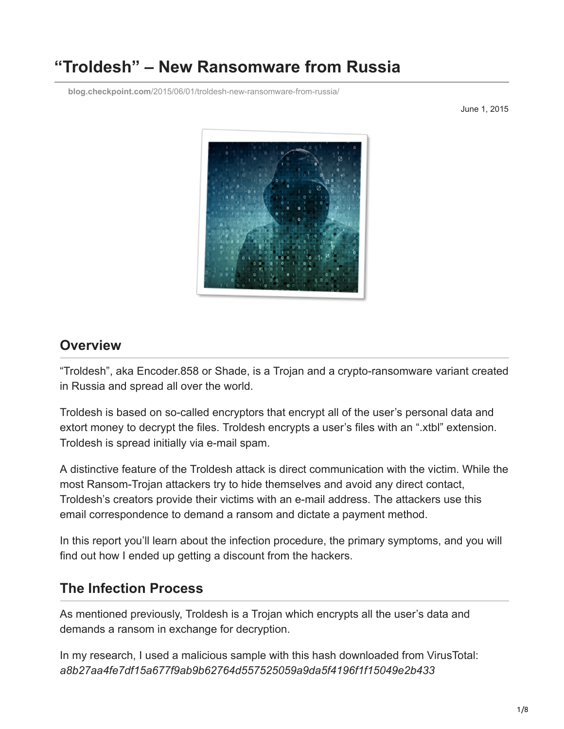# **"Troldesh" – New Ransomware from Russia**

**blog.checkpoint.com**[/2015/06/01/troldesh-new-ransomware-from-russia/](https://blog.checkpoint.com/2015/06/01/troldesh-new-ransomware-from-russia/)

June 1, 2015



#### **Overview**

"Troldesh", aka Encoder.858 or Shade, is a Trojan and a crypto-ransomware variant created in Russia and spread all over the world.

Troldesh is based on so-called encryptors that encrypt all of the user's personal data and extort money to decrypt the files. Troldesh encrypts a user's files with an ".xtbl" extension. Troldesh is spread initially via e-mail spam.

A distinctive feature of the Troldesh attack is direct communication with the victim. While the most Ransom-Trojan attackers try to hide themselves and avoid any direct contact, Troldesh's creators provide their victims with an e-mail address. The attackers use this email correspondence to demand a ransom and dictate a payment method.

In this report you'll learn about the infection procedure, the primary symptoms, and you will find out how I ended up getting a discount from the hackers.

## **The Infection Process**

As mentioned previously, Troldesh is a Trojan which encrypts all the user's data and demands a ransom in exchange for decryption.

In my research, I used a malicious sample with this hash downloaded from VirusTotal: *a8b27aa4fe7df15a677f9ab9b62764d557525059a9da5f4196f1f15049e2b433*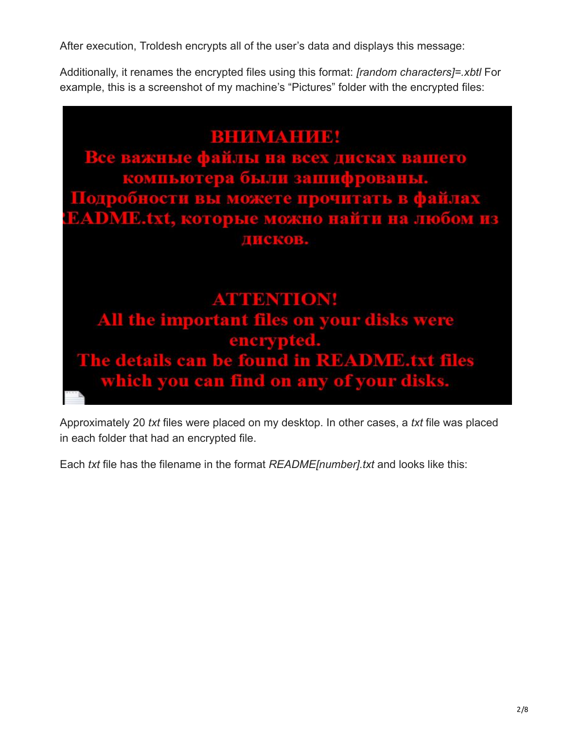After execution, Troldesh encrypts all of the user's data and displays this message:

Additionally, it renames the encrypted files using this format: *[random characters]=.xbtl* For example, this is a screenshot of my machine's "Pictures" folder with the encrypted files:

# BHIZIMANHIZIBI

Все важные файлы на всех дисках вашего компьютера были зашифрованы. Подробности вы можете прочитать в файлах **EADME.txt, которые можно найти на любом из ДИСКОВ.** 

**ATTENTION!** All the important files on your disks were<br>encrypted.<br>The details can be found in README.txt files which you can find on any of your disks.

Approximately 20 *txt* files were placed on my desktop. In other cases, a *txt* file was placed in each folder that had an encrypted file.

Each *txt* file has the filename in the format *README[number].txt* and looks like this: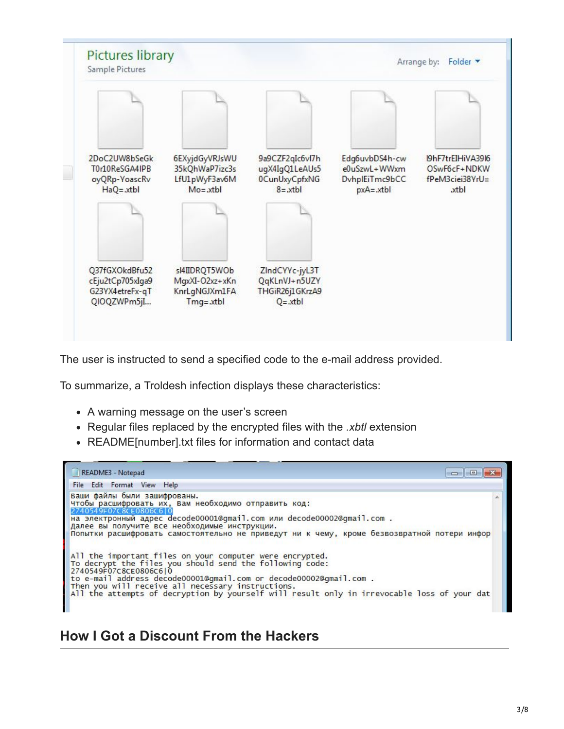

The user is instructed to send a specified code to the e-mail address provided.

To summarize, a Troldesh infection displays these characteristics:

- A warning message on the user's screen
- Regular files replaced by the encrypted files with the *.xbtl* extension
- README[number].txt files for information and contact data

| README3 - Notepad                                                                                                                                                                                                                                                                                                                                                        |  |
|--------------------------------------------------------------------------------------------------------------------------------------------------------------------------------------------------------------------------------------------------------------------------------------------------------------------------------------------------------------------------|--|
| File Edit Format View Help                                                                                                                                                                                                                                                                                                                                               |  |
| Ваши файлы были зашифрованы.<br>чтобы расшифровать их, Вам необходимо отправить код:<br>2740549F07C8CE0806C6 0<br>на электронный адрес decode00001@gmail.com или decode00002@gmail.com .<br>Далее вы получите все необходимые инструкции.<br>Попытки расшифровать самостоятельно не приведут ни к чему, кроме безвозвратной потери инфор                                 |  |
| All the important files on your computer were encrypted.<br>To decrypt the files you should send the following code:<br>2740549F07C8CE0806C610<br>to e-mail address decode00001@gmail.com or decode00002@gmail.com .<br>Then you will receive all necessary instructions.<br>All the attempts of decryption by yourself will result only in irrevocable loss of your dat |  |

## **How I Got a Discount From the Hackers**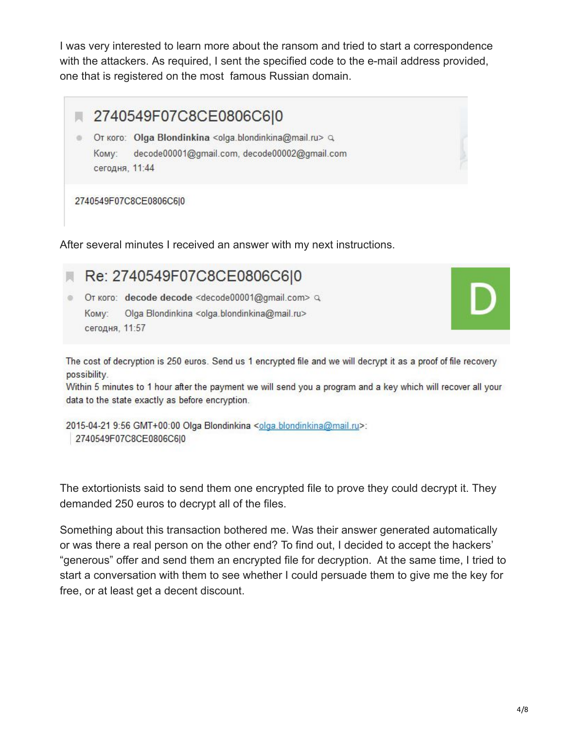I was very interested to learn more about the ransom and tried to start a correspondence with the attackers. As required, I sent the specified code to the e-mail address provided, one that is registered on the most famous Russian domain.



2740549F07C8CE0806C6|0

After several minutes I received an answer with my next instructions.



The cost of decryption is 250 euros. Send us 1 encrypted file and we will decrypt it as a proof of file recovery possibility.

Within 5 minutes to 1 hour after the payment we will send you a program and a key which will recover all your data to the state exactly as before encryption.

2015-04-21 9:56 GMT+00:00 Olga Blondinkina <olga.blondinkina@mail.ru>: 2740549F07C8CE0806C6|0

The extortionists said to send them one encrypted file to prove they could decrypt it. They demanded 250 euros to decrypt all of the files.

Something about this transaction bothered me. Was their answer generated automatically or was there a real person on the other end? To find out, I decided to accept the hackers' "generous" offer and send them an encrypted file for decryption. At the same time, I tried to start a conversation with them to see whether I could persuade them to give me the key for free, or at least get a decent discount.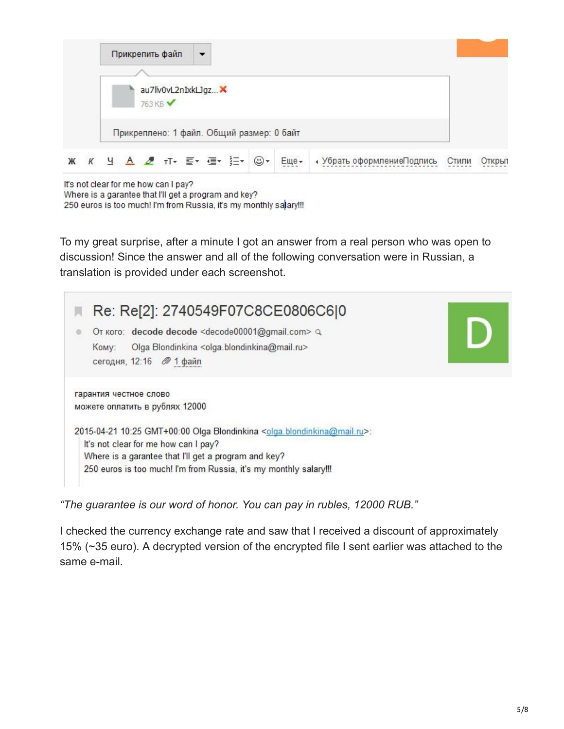| Прикрепить файл                           | $\cdot$ |      |                            |       |        |
|-------------------------------------------|---------|------|----------------------------|-------|--------|
|                                           |         |      |                            |       |        |
| au7lv0vL2nIxkLJgz X<br>763 KB             |         |      |                            |       |        |
| Прикреплено: 1 файл. Общий размер: 0 байт |         |      |                            |       |        |
| Ж К Ч А 2 тт = = = = = = 0 +              |         | Еще- | • Убрать оформлениеПодпись | Стили | Открыт |

It's not clear for me how can I pay?

Where is a garantee that I'll get a program and key? 250 euros is too much! I'm from Russia, it's my monthly salary!!!

To my great surprise, after a minute I got an answer from a real person who was open to discussion! Since the answer and all of the following conversation were in Russian, a translation is provided under each screenshot.

| Re: Re[2]: 2740549F07C8CE0806C6 0                                                                  |  |
|----------------------------------------------------------------------------------------------------|--|
| OT KOFO: decode decode <decode00001@gmail.com> Q</decode00001@gmail.com>                           |  |
| Olga Blondinkina <olga.blondinkina@mail.ru><br/>KOMV:</olga.blondinkina@mail.ru>                   |  |
| сегодня, 12:16 2 1 файл                                                                            |  |
| гарантия честное слово                                                                             |  |
| можете оплатить в рублях 12000                                                                     |  |
| 2015-04-21 10:25 GMT+00:00 Olga Blondinkina <olga.blondinkina@mail.ru>:</olga.blondinkina@mail.ru> |  |
| It's not clear for me how can I pay?                                                               |  |
| Where is a garantee that I'll get a program and key?                                               |  |
| 250 euros is too much! I'm from Russia, it's my monthly salary!!!                                  |  |

*"The guarantee is our word of honor. You can pay in rubles, 12000 RUB."*

I checked the currency exchange rate and saw that I received a discount of approximately 15% (~35 euro). A decrypted version of the encrypted file I sent earlier was attached to the same e-mail.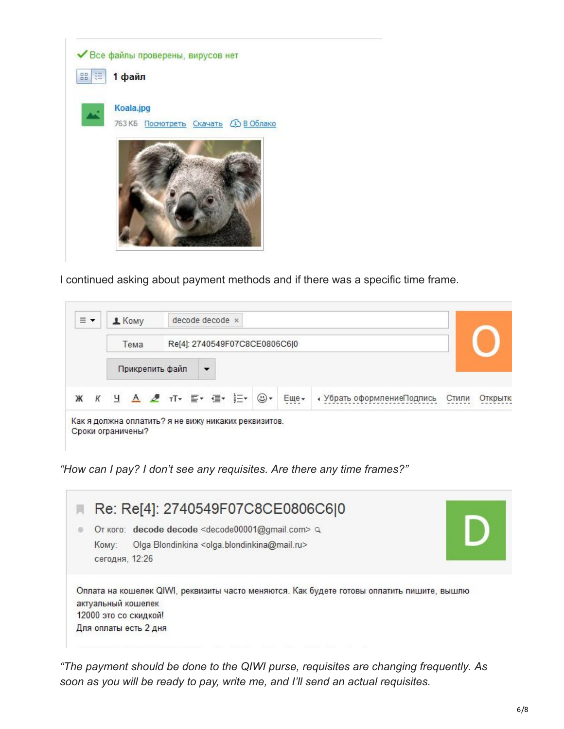

I continued asking about payment methods and if there was a specific time frame.



*"How can I pay? I don't see any requisites. Are there any time frames?"*

|                         | Re: Re[4]: 2740549F07C8CE0806C6 0                                                                                                                   |  |
|-------------------------|-----------------------------------------------------------------------------------------------------------------------------------------------------|--|
| KOMV:<br>сегодня, 12:26 | Or koro: decode decode <decode00001@gmail.com> Q<br/>Olga Blondinkina <olga.blondinkina@mail.ru></olga.blondinkina@mail.ru></decode00001@gmail.com> |  |
| актуальный кошелек      | Оплата на кошелек QIWI, реквизиты часто меняются. Как будете готовы оплатить пишите, вышлю<br>12000 это со скидкой!                                 |  |
|                         | Для оплаты есть 2 дня                                                                                                                               |  |

*"The payment should be done to the QIWI purse, requisites are changing frequently. As soon as you will be ready to pay, write me, and I'll send an actual requisites.*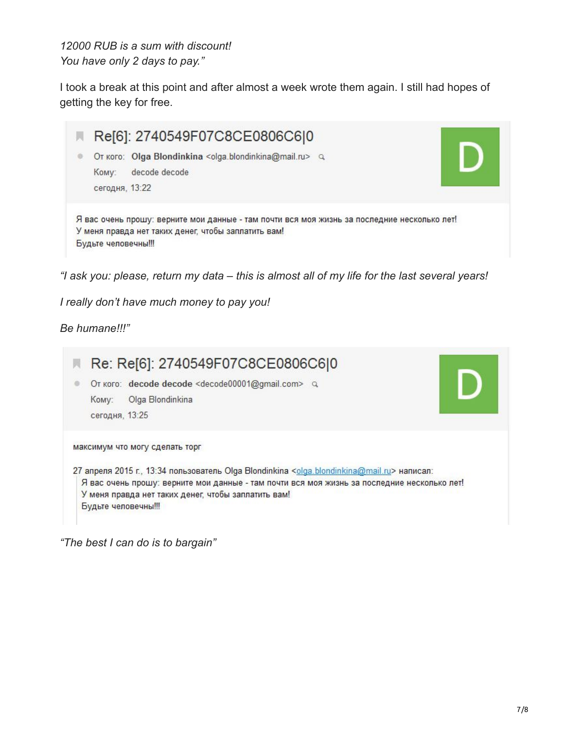*12000 RUB is a sum with discount! You have only 2 days to pay."*

I took a break at this point and after almost a week wrote them again. I still had hopes of getting the key for free.



*"I ask you: please, return my data – this is almost all of my life for the last several years!*

*I really don't have much money to pay you!*

#### *Be humane!!!"*



*"The best I can do is to bargain"*